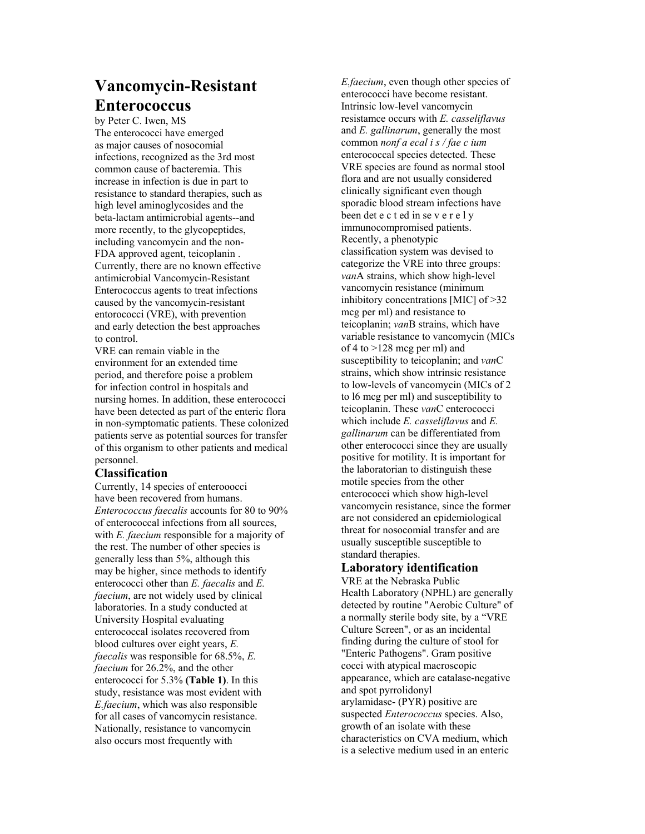## **Vancomycin-Resistant Enterococcus**

by Peter C. Iwen, MS The enterococci have emerged as major causes of nosocomial infections, recognized as the 3rd most common cause of bacteremia. This increase in infection is due in part to resistance to standard therapies, such as high level aminoglycosides and the beta-lactam antimicrobial agents--and more recently, to the glycopeptides, including vancomycin and the non-FDA approved agent, teicoplanin . Currently, there are no known effective antimicrobial Vancomycin-Resistant Enterococcus agents to treat infections caused by the vancomycin-resistant entorococci (VRE), with prevention and early detection the best approaches to control.

VRE can remain viable in the environment for an extended time period, and therefore poise a problem for infection control in hospitals and nursing homes. In addition, these enterococci have been detected as part of the enteric flora in non-symptomatic patients. These colonized patients serve as potential sources for transfer of this organism to other patients and medical personnel.

## **Classification**

Currently, 14 species of enterooocci have been recovered from humans. *Enterococcus faecalis* accounts for 80 to 90% of enterococcal infections from all sources, with *E. faecium* responsible for a majority of the rest. The number of other species is generally less than 5%, although this may be higher, since methods to identify enterococci other than *E. faecalis* and *E. faecium*, are not widely used by clinical laboratories. In a study conducted at University Hospital evaluating enterococcal isolates recovered from blood cultures over eight years, *E. faecalis* was responsible for 68.5%, *E. faecium* for 26.2%, and the other enterococci for 5.3% **(Table 1)**. In this study, resistance was most evident with *E.faecium*, which was also responsible for all cases of vancomycin resistance. Nationally, resistance to vancomycin also occurs most frequently with

*E.faecium*, even though other species of enterococci have become resistant. Intrinsic low-level vancomycin resistamce occurs with *E. casseliflavus*  and *E. gallinarum*, generally the most common *nonf a ecal i s / fae c ium*  enterococcal species detected. These VRE species are found as normal stool flora and are not usually considered clinically significant even though sporadic blood stream infections have been det e c t ed in se v e r e l y immunocompromised patients. Recently, a phenotypic classification system was devised to categorize the VRE into three groups: *van*A strains, which show high-level vancomycin resistance (minimum inhibitory concentrations [MIC] of >32 mcg per ml) and resistance to teicoplanin; *van*B strains, which have variable resistance to vancomycin (MICs of 4 to >128 mcg per ml) and susceptibility to teicoplanin; and *van*C strains, which show intrinsic resistance to low-levels of vancomycin (MICs of 2 to l6 mcg per ml) and susceptibility to teicoplanin. These *van*C enterococci which include *E. casseliflavus* and *E. gallinarum* can be differentiated from other enterococci since they are usually positive for motility. It is important for the laboratorian to distinguish these motile species from the other enterococci which show high-level vancomycin resistance, since the former are not considered an epidemiological threat for nosocomial transfer and are usually susceptible susceptible to standard therapies.

## **Laboratory identification**

VRE at the Nebraska Public Health Laboratory (NPHL) are generally detected by routine "Aerobic Culture" of a normally sterile body site, by a "VRE Culture Screen", or as an incidental finding during the culture of stool for "Enteric Pathogens". Gram positive cocci with atypical macroscopic appearance, which are catalase-negative and spot pyrrolidonyl arylamidase- (PYR) positive are suspected *Enterococcus* species. Also, growth of an isolate with these characteristics on CVA medium, which is a selective medium used in an enteric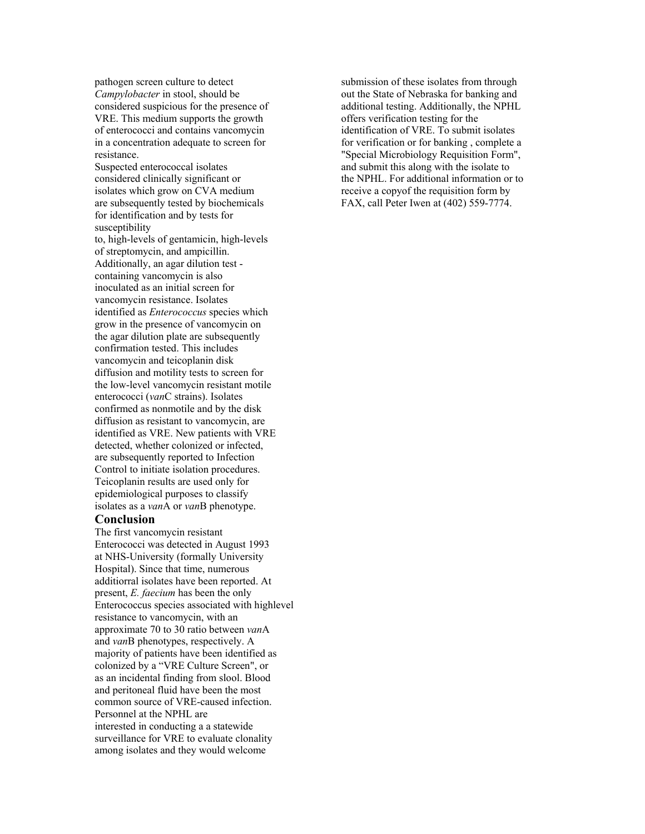pathogen screen culture to detect *Campylobacter* in stool, should be considered suspicious for the presence of VRE. This medium supports the growth of enterococci and contains vancomycin in a concentration adequate to screen for resistance.

Suspected enterococcal isolates considered clinically significant or isolates which grow on CVA medium are subsequently tested by biochemicals for identification and by tests for susceptibility

to, high-levels of gentamicin, high-levels of streptomycin, and ampicillin. Additionally, an agar dilution test containing vancomycin is also inoculated as an initial screen for vancomycin resistance. Isolates identified as *Enterococcus* species which grow in the presence of vancomycin on the agar dilution plate are subsequently confirmation tested. This includes vancomycin and teicoplanin disk diffusion and motility tests to screen for the low-level vancomycin resistant motile enterococci (*van*C strains). Isolates confirmed as nonmotile and by the disk diffusion as resistant to vancomycin, are identified as VRE. New patients with VRE detected, whether colonized or infected, are subsequently reported to Infection Control to initiate isolation procedures. Teicoplanin results are used only for epidemiological purposes to classify isolates as a *van*A or *van*B phenotype.

## **Conclusion**

The first vancomycin resistant Enterococci was detected in August 1993 at NHS-University (formally University Hospital). Since that time, numerous additiorral isolates have been reported. At present, *E. faecium* has been the only Enterococcus species associated with highlevel resistance to vancomycin, with an approximate 70 to 30 ratio between *van*A and *van*B phenotypes, respectively. A majority of patients have been identified as colonized by a "VRE Culture Screen", or as an incidental finding from slool. Blood and peritoneal fluid have been the most common source of VRE-caused infection. Personnel at the NPHL are interested in conducting a a statewide surveillance for VRE to evaluate clonality among isolates and they would welcome

submission of these isolates from through out the State of Nebraska for banking and additional testing. Additionally, the NPHL offers verification testing for the identification of VRE. To submit isolates for verification or for banking , complete a "Special Microbiology Requisition Form", and submit this along with the isolate to the NPHL. For additional information or to receive a copyof the requisition form by FAX, call Peter Iwen at (402) 559-7774.